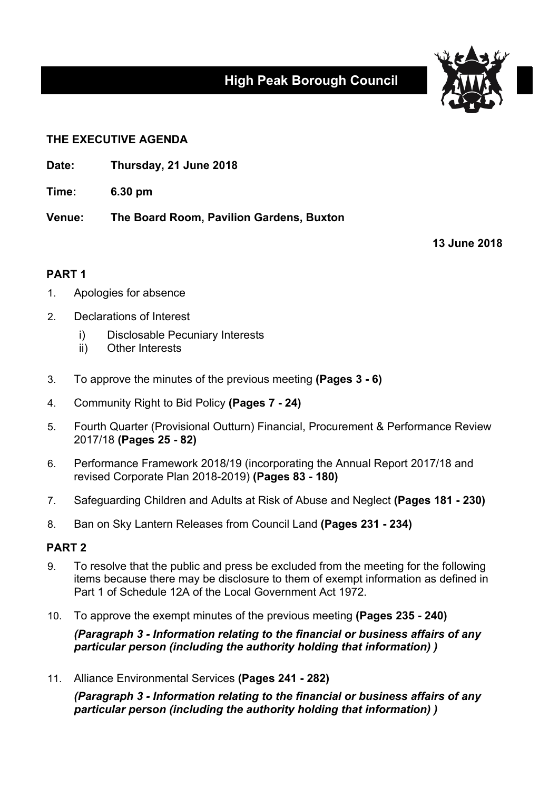# **High Peak Borough Council**



## **THE EXECUTIVE AGENDA**

**Date: Thursday, 21 June 2018**

**Time: 6.30 pm**

**Venue: The Board Room, Pavilion Gardens, Buxton**

**13 June 2018**

## **PART 1**

- 1. Apologies for absence
- 2. Declarations of Interest
	- i) Disclosable Pecuniary Interests
	- ii) Other Interests
- 3. To approve the minutes of the previous meeting **(Pages 3 - 6)**
- 4. Community Right to Bid Policy **(Pages 7 - 24)**
- 5. Fourth Quarter (Provisional Outturn) Financial, Procurement & Performance Review 2017/18 **(Pages 25 - 82)**
- 6. Performance Framework 2018/19 (incorporating the Annual Report 2017/18 and revised Corporate Plan 2018-2019) **(Pages 83 - 180)**
- 7. Safeguarding Children and Adults at Risk of Abuse and Neglect **(Pages 181 - 230)**
- 8. Ban on Sky Lantern Releases from Council Land **(Pages 231 - 234)**

## **PART 2**

- 9. To resolve that the public and press be excluded from the meeting for the following items because there may be disclosure to them of exempt information as defined in Part 1 of Schedule 12A of the Local Government Act 1972.
- 10. To approve the exempt minutes of the previous meeting **(Pages 235 - 240)**

*(Paragraph 3 - Information relating to the financial or business affairs of any particular person (including the authority holding that information) )*

11. Alliance Environmental Services **(Pages 241 - 282)**

*(Paragraph 3 - Information relating to the financial or business affairs of any particular person (including the authority holding that information) )*